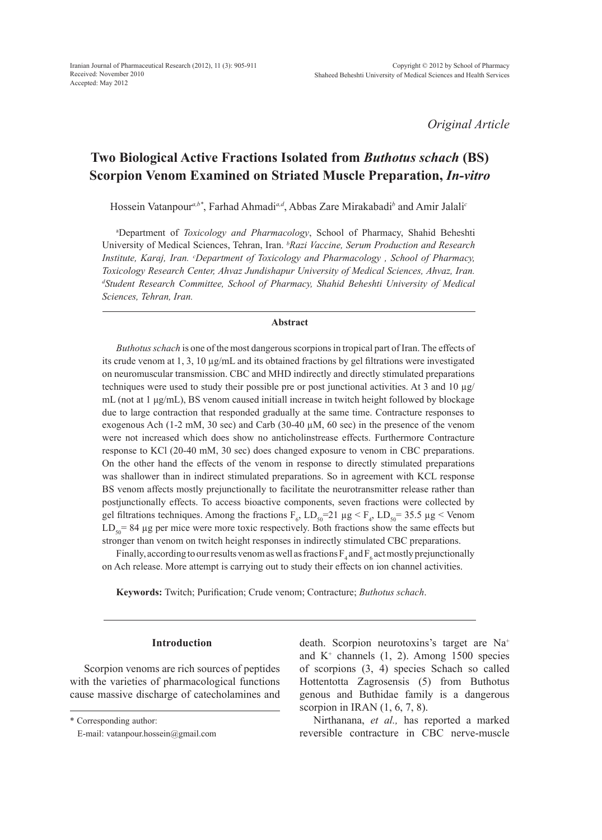*Original Article*

# **Two Biological Active Fractions Isolated from** *Buthotus schach* **(BS) Scorpion Venom Examined on Striated Muscle Preparation,** *In-vitro*

Hossein Vatanpour*a,b\**, Farhad Ahmadi*a,d*, Abbas Zare Mirakabadi*<sup>b</sup>* and Amir Jalali*<sup>c</sup>*

a Department of *Toxicology and Pharmacology*, School of Pharmacy, Shahid Beheshti University of Medical Sciences, Tehran, Iran. *<sup>b</sup> Razi Vaccine, Serum Production and Research Institute, Karaj, Iran. <sup>c</sup>Department of Toxicology and Pharmacology , School of Pharmacy, Toxicology Research Center, Ahvaz Jundishapur University of Medical Sciences, Ahvaz, Iran. d Student Research Committee, School of Pharmacy, Shahid Beheshti University of Medical Sciences, Tehran, Iran.*

# **Abstract**

*Buthotus schach* is one of the most dangerous scorpions in tropical part of Iran. The effects of its crude venom at 1, 3, 10  $\mu$ g/mL and its obtained fractions by gel filtrations were investigated on neuromuscular transmission. CBC and MHD indirectly and directly stimulated preparations techniques were used to study their possible pre or post junctional activities. At 3 and 10  $\mu$ g/ mL (not at 1 μg/mL), BS venom caused initiall increase in twitch height followed by blockage due to large contraction that responded gradually at the same time. Contracture responses to exogenous Ach (1-2 mM, 30 sec) and Carb (30-40  $\mu$ M, 60 sec) in the presence of the venom were not increased which does show no anticholinstrease effects. Furthermore Contracture response to KCl (20-40 mM, 30 sec) does changed exposure to venom in CBC preparations. On the other hand the effects of the venom in response to directly stimulated preparations was shallower than in indirect stimulated preparations. So in agreement with KCL response BS venom affects mostly prejunctionally to facilitate the neurotransmitter release rather than postjunctionally effects. To access bioactive components, seven fractions were collected by gel filtrations techniques. Among the fractions  $F_6$ ,  $LD_{50} = 21 \mu g < F_4$ ,  $LD_{50} = 35.5 \mu g <$  Venom  $LD<sub>50</sub> = 84 \mu g$  per mice were more toxic respectively. Both fractions show the same effects but stronger than venom on twitch height responses in indirectly stimulated CBC preparations.

Finally, according to our results venom as well as fractions  $F_4$  and  $F_6$  act mostly prejunctionally on Ach release. More attempt is carrying out to study their effects on ion channel activities.

**Keywords:** Twitch; Purification; Crude venom; Contracture; *Buthotus schach*.

#### **Introduction**

Scorpion venoms are rich sources of peptides with the varieties of pharmacological functions cause massive discharge of catecholamines and death. Scorpion neurotoxins's target are Na<sup>+</sup> and  $K^+$  channels  $(1, 2)$ . Among 1500 species of scorpions (3, 4) species Schach so called Hottentotta Zagrosensis (5) from Buthotus genous and Buthidae family is a dangerous scorpion in IRAN  $(1, 6, 7, 8)$ .

Nirthanana, *et al.,* has reported a marked reversible contracture in CBC nerve-muscle

<sup>\*</sup> Corresponding author:

E-mail: vatanpour.hossein@gmail.com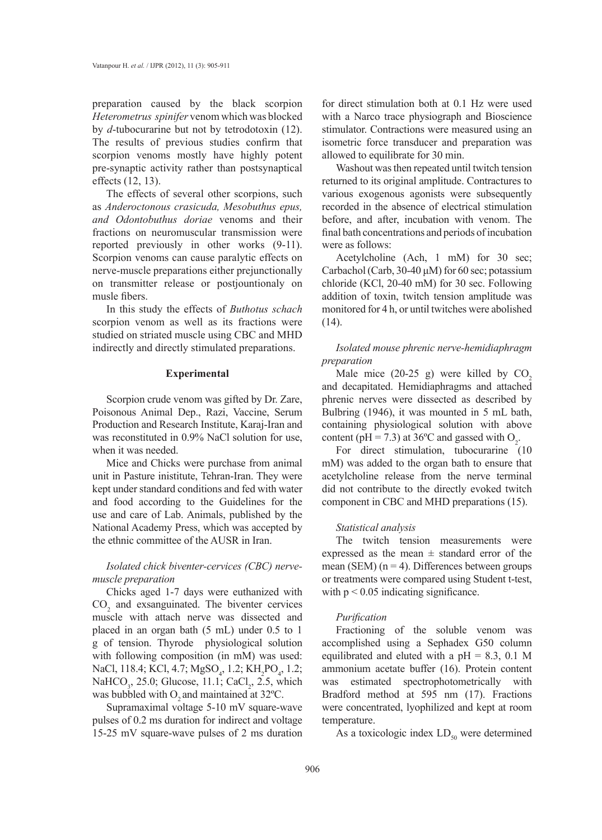preparation caused by the black scorpion *Heterometrus spinifer* venom which was blocked by *d*-tubocurarine but not by tetrodotoxin (12). The results of previous studies confirm that scorpion venoms mostly have highly potent pre-synaptic activity rather than postsynaptical effects (12, 13).

The effects of several other scorpions, such as *Anderoctonous crasicuda, Mesobuthus epus, and Odontobuthus doriae* venoms and their fractions on neuromuscular transmission were reported previously in other works (9-11). Scorpion venoms can cause paralytic effects on nerve-muscle preparations either prejunctionally on transmitter release or postjountionaly on musle fibers.

In this study the effects of *Buthotus schach* scorpion venom as well as its fractions were studied on striated muscle using CBC and MHD indirectly and directly stimulated preparations.

#### **Experimental**

Scorpion crude venom was gifted by Dr. Zare, Poisonous Animal Dep., Razi, Vaccine, Serum Production and Research Institute, Karaj-Iran and was reconstituted in 0.9% NaCl solution for use, when it was needed.

Mice and Chicks were purchase from animal unit in Pasture inistitute, Tehran-Iran. They were kept under standard conditions and fed with water and food according to the Guidelines for the use and care of Lab. Animals, published by the National Academy Press, which was accepted by the ethnic committee of the AUSR in Iran.

# *Isolated chick biventer-cervices (CBC) nervemuscle preparation*

Chicks aged 1-7 days were euthanized with  $CO<sub>2</sub>$  and exsanguinated. The biventer cervices muscle with attach nerve was dissected and placed in an organ bath (5 mL) under 0.5 to 1 g of tension. Thyrode physiological solution with following composition (in mM) was used: NaCl, 118.4; KCl, 4.7; MgSO<sub>4</sub>, 1.2; KH<sub>2</sub>PO<sub>4</sub>, 1.2;  $NaHCO<sub>3</sub>$ , 25.0; Glucose, 11.1; CaCl<sub>2</sub>, 2.5, which was bubbled with  $O_2$  and maintained at 32 $^{\circ}$ C.

Supramaximal voltage 5-10 mV square-wave pulses of 0.2 ms duration for indirect and voltage 15-25 mV square-wave pulses of 2 ms duration for direct stimulation both at 0.1 Hz were used with a Narco trace physiograph and Bioscience stimulator. Contractions were measured using an isometric force transducer and preparation was allowed to equilibrate for 30 min.

Washout was then repeated until twitch tension returned to its original amplitude. Contractures to various exogenous agonists were subsequently recorded in the absence of electrical stimulation before, and after, incubation with venom. The final bath concentrations and periods of incubation were as follows:

Acetylcholine (Ach, 1 mM) for 30 sec; Carbachol (Carb,  $30-40 \mu M$ ) for 60 sec; potassium chloride (KCl, 20-40 mM) for 30 sec. Following addition of toxin, twitch tension amplitude was monitored for 4 h, or until twitches were abolished (14).

# *Isolated mouse phrenic nerve-hemidiaphragm preparation*

Male mice  $(20-25 \text{ g})$  were killed by  $CO<sub>2</sub>$ and decapitated. Hemidiaphragms and attached phrenic nerves were dissected as described by Bulbring (1946), it was mounted in 5 mL bath, containing physiological solution with above content (pH = 7.3) at 36°C and gassed with  $O_2$ .

For direct stimulation, tubocurarine (10 mM) was added to the organ bath to ensure that acetylcholine release from the nerve terminal did not contribute to the directly evoked twitch component in CBC and MHD preparations (15).

## *Statistical analysis*

The twitch tension measurements were expressed as the mean ± standard error of the mean (SEM)  $(n = 4)$ . Differences between groups or treatments were compared using Student t-test, with  $p < 0.05$  indicating significance.

# *Purification*

Fractioning of the soluble venom was accomplished using a Sephadex G50 column equilibrated and eluted with a  $pH = 8.3$ , 0.1 M ammonium acetate buffer (16). Protein content was estimated spectrophotometrically with Bradford method at 595 nm (17). Fractions were concentrated, lyophilized and kept at room temperature.

As a toxicologic index  $LD_{50}$  were determined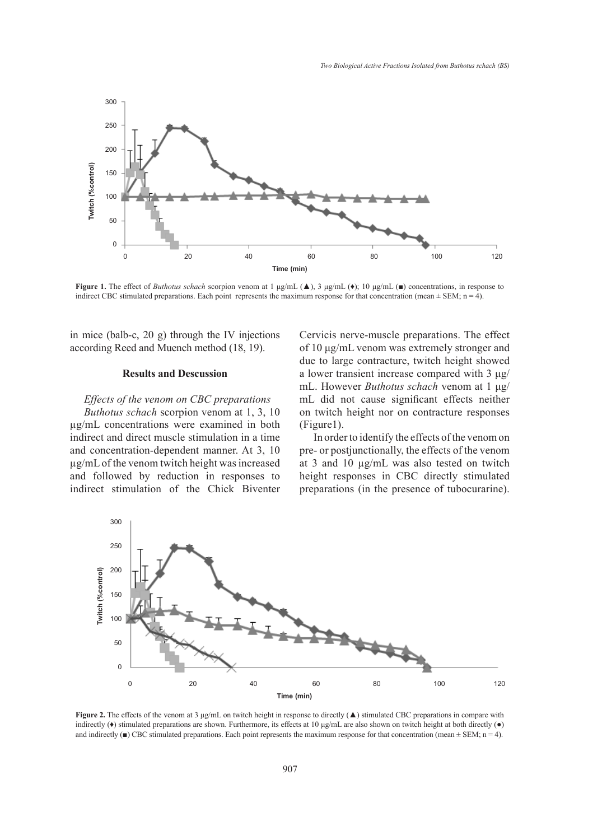

**Figure 1.** The effect of *Buthotus schach* scorpion venom at 1 μg/mL (▲), 3 μg/mL (♦); 10 μg/mL (■) concentrations, in response to indirect CBC stimulated preparations. Each point represents the maximum response for that concentration (mean  $\pm$  SEM; n = 4).

in mice (balb-c, 20 g) through the IV injections according Reed and Muench method (18, 19).

#### **Results and Descussion**

## *Effects of the venom on CBC preparations*

*Buthotus schach* scorpion venom at 1, 3, 10 µg/mL concentrations were examined in both indirect and direct muscle stimulation in a time and concentration-dependent manner. At 3, 10 µg/mL of the venom twitch height was increased and followed by reduction in responses to indirect stimulation of the Chick Biventer Cervicis nerve-muscle preparations. The effect of 10 μg/mL venom was extremely stronger and due to large contracture, twitch height showed a lower transient increase compared with 3 μg/ mL. However *Buthotus schach* venom at 1 μg/ mL did not cause significant effects neither on twitch height nor on contracture responses (Figure1).

In order to identify the effects of the venom on pre- or postjunctionally, the effects of the venom at 3 and 10 µg/mL was also tested on twitch height responses in CBC directly stimulated preparations (in the presence of tubocurarine).



**Figure 2.** The effects of the venom at 3 μg/mL on twitch height in response to directly (▲) stimulated CBC preparations in compare with indirectly (♦) stimulated preparations are shown. Furthermore, its effects at 10 μg/mL are also shown on twitch height at both directly (●) and indirectly ( $\blacksquare$ ) CBC stimulated preparations. Each point represents the maximum response for that concentration (mean  $\pm$  SEM; n = 4).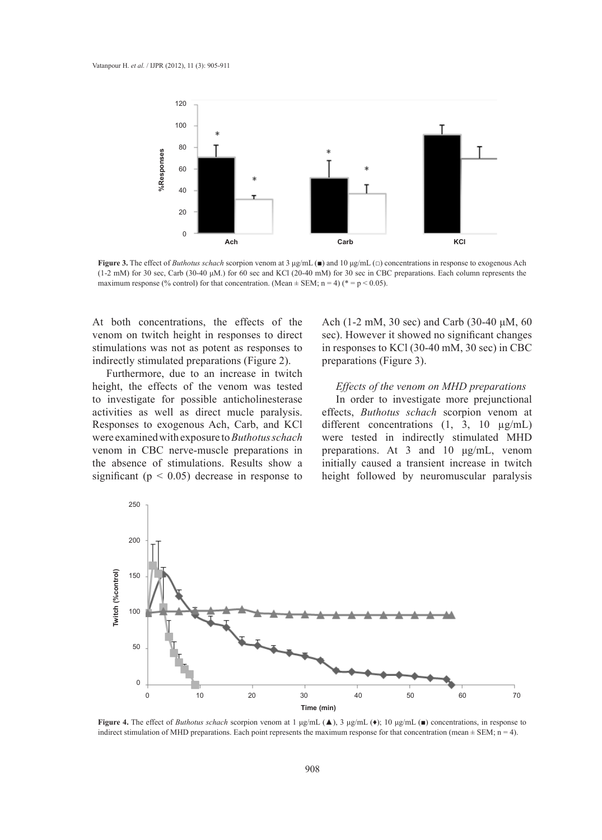

**Figure 3.** The effect of *Buthotus schach* scorpion venom at 3 μg/mL (■) and 10 μg/mL (□) concentrations in response to exogenous Ach (1-2 mM) for 30 sec, Carb (30-40 μM.) for 60 sec and KCl (20-40 mM) for 30 sec in CBC preparations. Each column represents the maximum response (% control) for that concentration. (Mean  $\pm$  SEM; n = 4) (\* = p < 0.05).

At both concentrations, the effects of the venom on twitch height in responses to direct stimulations was not as potent as responses to indirectly stimulated preparations (Figure 2).

Furthermore, due to an increase in twitch height, the effects of the venom was tested to investigate for possible anticholinesterase activities as well as direct mucle paralysis. Responses to exogenous Ach, Carb, and KCl were examined with exposure to *Buthotus schach* venom in CBC nerve-muscle preparations in the absence of stimulations. Results show a Fraction of the effect of *Buthotus schach* scoppion venom at 3  $\mu$ g/<br>(1-2 mM) for 30 sec, Carb (30-40  $\mu$ M) for 60 sec and KCl (20-<br>maximum response (% control) for that concentration. (Mean ± S<br>At both concentrations,

Ach (1-2 mM, 30 sec) and Carb (30-40 μM, 60 sec). However it showed no significant changes in responses to KCl (30-40 mM, 30 sec) in CBC preparations (Figure 3).

## *Effects of the venom on MHD preparations*

In order to investigate more prejunctional effects, *Buthotus schach* scorpion venom at different concentrations  $(1, 3, 10 \mu g/mL)$ were tested in indirectly stimulated MHD preparations. At 3 and 10 μg/mL, venom initially caused a transient increase in twitch height followed by neuromuscular paralysis



**Figure 4.** The effect of *Buthotus schach* scorpion venom at 1 μg/mL (▲), 3 μg/mL (♦); 10 μg/mL (■) concentrations, in response to indirect stimulation of MHD preparations. Each point represents the maximum response for that concentration (mean  $\pm$  SEM; n = 4).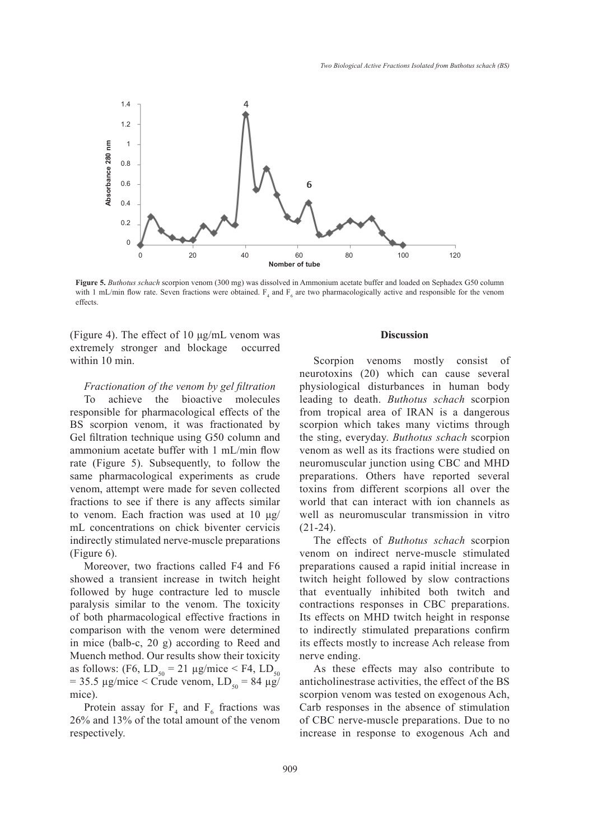

**Figure 5.** *Buthotus schach* scorpion venom (300 mg) was dissolved in Ammonium acetate buffer and loaded on Sephadex G50 column with 1 mL/min flow rate. Seven fractions were obtained.  $F_4$  and  $F_6$  are two pharmacologically active and responsible for the venom effects.

(Figure 4). The effect of 10 μg/mL venom was extremely stronger and blockage occurred within 10 min.

#### *Fractionation of the venom by gel filtration*

To achieve the bioactive molecules responsible for pharmacological effects of the BS scorpion venom, it was fractionated by Gel filtration technique using G50 column and ammonium acetate buffer with 1 mL/min flow rate (Figure 5). Subsequently, to follow the same pharmacological experiments as crude venom, attempt were made for seven collected fractions to see if there is any affects similar to venom. Each fraction was used at 10 μg/ mL concentrations on chick biventer cervicis indirectly stimulated nerve-muscle preparations (Figure 6).

Moreover, two fractions called F4 and F6 showed a transient increase in twitch height followed by huge contracture led to muscle paralysis similar to the venom. The toxicity of both pharmacological effective fractions in comparison with the venom were determined in mice (balb-c, 20 g) according to Reed and Muench method. Our results show their toxicity as follows: (F6,  $LD_{50} = 21 \text{ µg/mice} < F4$ ,  $LD_{50}$  $= 35.5 \text{ µg/mice} <$  Crude venom, LD<sub>50</sub> = 84  $\mu$ g/ mice).

Protein assay for  $F_4$  and  $F_6$  fractions was 26% and 13% of the total amount of the venom respectively.

#### **Discussion**

Scorpion venoms mostly consist of neurotoxins (20) which can cause several physiological disturbances in human body leading to death. *Buthotus schach* scorpion from tropical area of IRAN is a dangerous scorpion which takes many victims through the sting, everyday. *Buthotus schach* scorpion venom as well as its fractions were studied on neuromuscular junction using CBC and MHD preparations. Others have reported several toxins from different scorpions all over the world that can interact with ion channels as well as neuromuscular transmission in vitro  $(21-24)$ .

The effects of *Buthotus schach* scorpion venom on indirect nerve-muscle stimulated preparations caused a rapid initial increase in twitch height followed by slow contractions that eventually inhibited both twitch and contractions responses in CBC preparations. Its effects on MHD twitch height in response to indirectly stimulated preparations confirm its effects mostly to increase Ach release from nerve ending.

As these effects may also contribute to anticholinestrase activities, the effect of the BS scorpion venom was tested on exogenous Ach, Carb responses in the absence of stimulation of CBC nerve-muscle preparations. Due to no increase in response to exogenous Ach and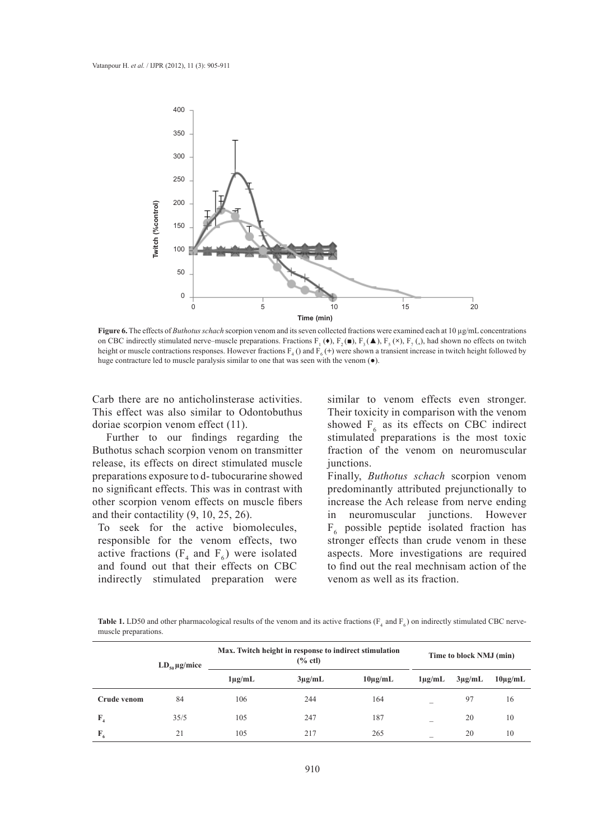

**Figure 6.** The effects of *Buthotus schach* scorpion venom and its seven collected fractions were examined each at 10 µg/mL concentrations on CBC indirectly stimulated nerve–muscle preparations. Fractions  $F_1(\bullet)$ ,  $F_2(\bullet)$ ,  $F_3(\bullet)$ ,  $F_5(x)$ ,  $F_7(x)$ , had shown no effects on twitch height or muscle contractions responses. However fractions  $F_4$  () and  $F_6$  (+) were shown a transient increase in twitch height followed by huge contracture led to muscle paralysis similar to one that was seen with the venom  $(•)$ .

Carb there are no anticholinsterase activities. This effect was also similar to Odontobuthus doriae scorpion venom effect (11).

Further to our findings regarding the Buthotus schach scorpion venom on transmitter release, its effects on direct stimulated muscle preparations exposure to d- tubocurarine showed no significant effects. This was in contrast with other scorpion venom effects on muscle fibers and their contactility (9, 10, 25, 26).

To seek for the active biomolecules, responsible for the venom effects, two active fractions ( $F_4$  and  $F_6$ ) were isolated and found out that their effects on CBC indirectly stimulated preparation were

similar to venom effects even stronger. Their toxicity in comparison with the venom showed  $F<sub>6</sub>$  as its effects on CBC indirect stimulated preparations is the most toxic fraction of the venom on neuromuscular junctions.

Finally, *Buthotus schach* scorpion venom predominantly attributed prejunctionally to increase the Ach release from nerve ending in neuromuscular junctions. However  $F<sub>6</sub>$  possible peptide isolated fraction has stronger effects than crude venom in these aspects. More investigations are required to find out the real mechnisam action of the venom as well as its fraction.

**Table 1.** LD50 and other pharmacological results of the venom and its active fractions  $(F<sub>i</sub>$  and  $F<sub>i</sub>)$  on indirectly stimulated CBC nervemuscle preparations.

|                | $LD_{50} \mu g/mice$ | Max. Twitch height in response to indirect stimulation<br>$(\%$ ctl) |             |              | Time to block NMJ (min)  |             |              |
|----------------|----------------------|----------------------------------------------------------------------|-------------|--------------|--------------------------|-------------|--------------|
|                |                      | $1\mu$ g/mL                                                          | $3\mu$ g/mL | $10\mu$ g/mL | $1\mu$ g/mL              | $3\mu$ g/mL | $10\mu$ g/mL |
| Crude venom    | 84                   | 106                                                                  | 244         | 164          |                          | 97          | 16           |
| $\mathbf{F}_4$ | 35/5                 | 105                                                                  | 247         | 187          | $\overline{\phantom{a}}$ | 20          | 10           |
| $F_{6}$        | 21                   | 105                                                                  | 217         | 265          | $\overline{\phantom{a}}$ | 20          | 10           |